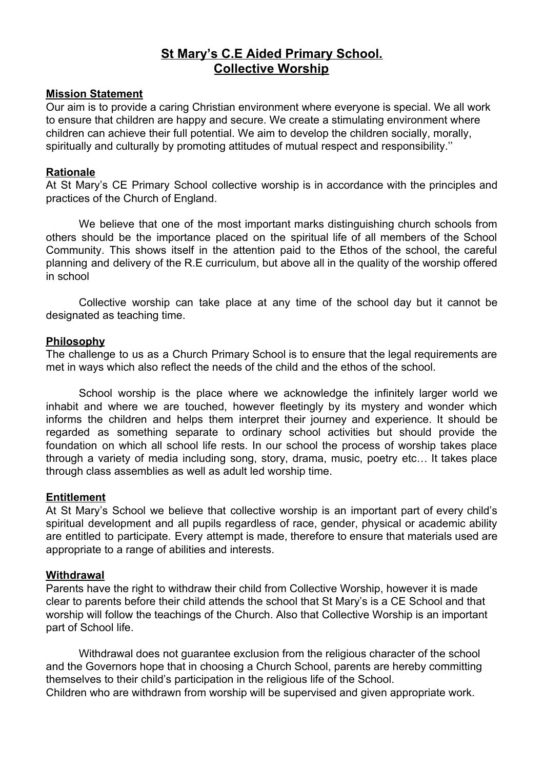# **St Mary's C.E Aided Primary School. Collective Worship**

#### **Mission Statement**

Our aim is to provide a caring Christian environment where everyone is special. We all work to ensure that children are happy and secure. We create a stimulating environment where children can achieve their full potential. We aim to develop the children socially, morally, spiritually and culturally by promoting attitudes of mutual respect and responsibility.''

#### **Rationale**

At St Mary's CE Primary School collective worship is in accordance with the principles and practices of the Church of England.

We believe that one of the most important marks distinguishing church schools from others should be the importance placed on the spiritual life of all members of the School Community. This shows itself in the attention paid to the Ethos of the school, the careful planning and delivery of the R.E curriculum, but above all in the quality of the worship offered in school

Collective worship can take place at any time of the school day but it cannot be designated as teaching time.

#### **Philosophy**

The challenge to us as a Church Primary School is to ensure that the legal requirements are met in ways which also reflect the needs of the child and the ethos of the school.

School worship is the place where we acknowledge the infinitely larger world we inhabit and where we are touched, however fleetingly by its mystery and wonder which informs the children and helps them interpret their journey and experience. It should be regarded as something separate to ordinary school activities but should provide the foundation on which all school life rests. In our school the process of worship takes place through a variety of media including song, story, drama, music, poetry etc… It takes place through class assemblies as well as adult led worship time.

#### **Entitlement**

At St Mary's School we believe that collective worship is an important part of every child's spiritual development and all pupils regardless of race, gender, physical or academic ability are entitled to participate. Every attempt is made, therefore to ensure that materials used are appropriate to a range of abilities and interests.

#### **Withdrawal**

Parents have the right to withdraw their child from Collective Worship, however it is made clear to parents before their child attends the school that St Mary's is a CE School and that worship will follow the teachings of the Church. Also that Collective Worship is an important part of School life.

Withdrawal does not guarantee exclusion from the religious character of the school and the Governors hope that in choosing a Church School, parents are hereby committing themselves to their child's participation in the religious life of the School.

Children who are withdrawn from worship will be supervised and given appropriate work.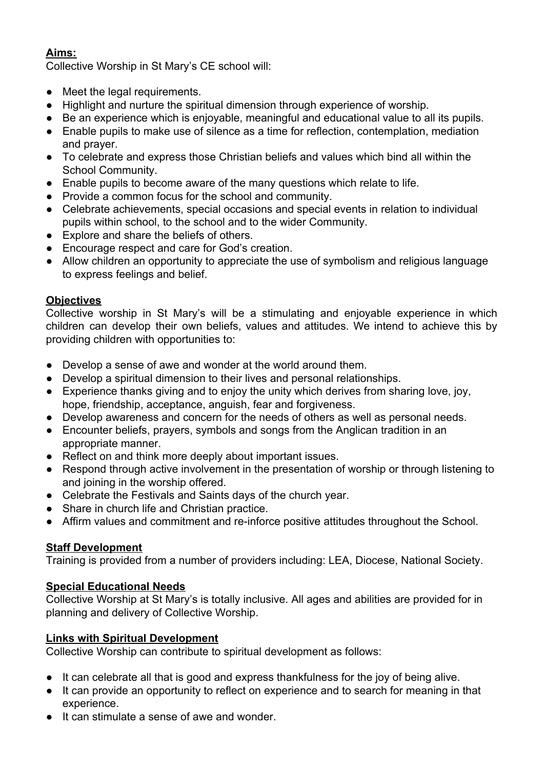## **Aims:**

Collective Worship in St Mary's CE school will:

- Meet the legal requirements.
- Highlight and nurture the spiritual dimension through experience of worship.
- Be an experience which is enjoyable, meaningful and educational value to all its pupils.
- Enable pupils to make use of silence as a time for reflection, contemplation, mediation and prayer.
- To celebrate and express those Christian beliefs and values which bind all within the School Community.
- Enable pupils to become aware of the many questions which relate to life.
- Provide a common focus for the school and community.
- Celebrate achievements, special occasions and special events in relation to individual pupils within school, to the school and to the wider Community.
- Explore and share the beliefs of others.
- Encourage respect and care for God's creation.
- Allow children an opportunity to appreciate the use of symbolism and religious language to express feelings and belief.

## **Objectives**

Collective worship in St Mary's will be a stimulating and enjoyable experience in which children can develop their own beliefs, values and attitudes. We intend to achieve this by providing children with opportunities to:

- Develop a sense of awe and wonder at the world around them.
- Develop a spiritual dimension to their lives and personal relationships.
- Experience thanks giving and to enjoy the unity which derives from sharing love, joy, hope, friendship, acceptance, anguish, fear and forgiveness.
- Develop awareness and concern for the needs of others as well as personal needs.
- Encounter beliefs, prayers, symbols and songs from the Anglican tradition in an appropriate manner.
- Reflect on and think more deeply about important issues.
- Respond through active involvement in the presentation of worship or through listening to and joining in the worship offered.
- Celebrate the Festivals and Saints days of the church year.
- Share in church life and Christian practice.
- Affirm values and commitment and re-inforce positive attitudes throughout the School.

# **Staff Development**

Training is provided from a number of providers including: LEA, Diocese, National Society.

## **Special Educational Needs**

Collective Worship at St Mary's is totally inclusive. All ages and abilities are provided for in planning and delivery of Collective Worship.

# **Links with Spiritual Development**

Collective Worship can contribute to spiritual development as follows:

- It can celebrate all that is good and express thankfulness for the joy of being alive.
- It can provide an opportunity to reflect on experience and to search for meaning in that experience.
- It can stimulate a sense of awe and wonder.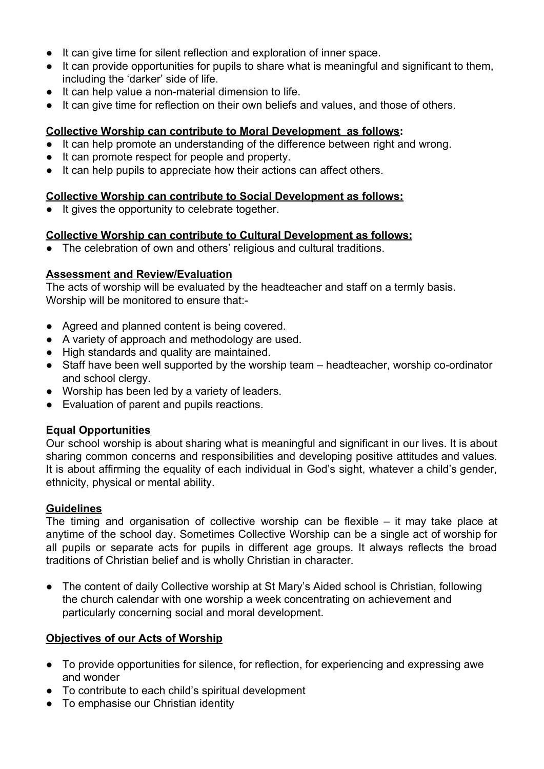- It can give time for silent reflection and exploration of inner space.
- It can provide opportunities for pupils to share what is meaningful and significant to them, including the 'darker' side of life.
- It can help value a non-material dimension to life.
- It can give time for reflection on their own beliefs and values, and those of others.

## **Collective Worship can contribute to Moral Development as follows:**

- It can help promote an understanding of the difference between right and wrong.
- It can promote respect for people and property.
- It can help pupils to appreciate how their actions can affect others.

## **Collective Worship can contribute to Social Development as follows:**

● It gives the opportunity to celebrate together.

## **Collective Worship can contribute to Cultural Development as follows:**

The celebration of own and others' religious and cultural traditions.

## **Assessment and Review/Evaluation**

The acts of worship will be evaluated by the headteacher and staff on a termly basis. Worship will be monitored to ensure that:-

- Agreed and planned content is being covered.
- A variety of approach and methodology are used.
- High standards and quality are maintained.
- Staff have been well supported by the worship team headteacher, worship co-ordinator and school clergy.
- Worship has been led by a variety of leaders.
- Evaluation of parent and pupils reactions.

# **Equal Opportunities**

Our school worship is about sharing what is meaningful and significant in our lives. It is about sharing common concerns and responsibilities and developing positive attitudes and values. It is about affirming the equality of each individual in God's sight, whatever a child's gender, ethnicity, physical or mental ability.

# **Guidelines**

The timing and organisation of collective worship can be flexible – it may take place at anytime of the school day. Sometimes Collective Worship can be a single act of worship for all pupils or separate acts for pupils in different age groups. It always reflects the broad traditions of Christian belief and is wholly Christian in character.

The content of daily Collective worship at St Mary's Aided school is Christian, following the church calendar with one worship a week concentrating on achievement and particularly concerning social and moral development.

# **Objectives of our Acts of Worship**

- To provide opportunities for silence, for reflection, for experiencing and expressing awe and wonder
- To contribute to each child's spiritual development
- To emphasise our Christian identity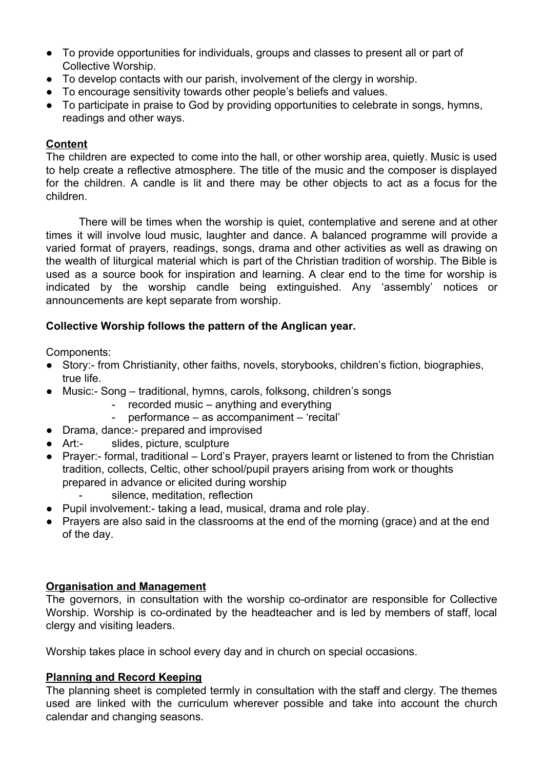- To provide opportunities for individuals, groups and classes to present all or part of Collective Worship.
- To develop contacts with our parish, involvement of the clergy in worship.
- To encourage sensitivity towards other people's beliefs and values.
- To participate in praise to God by providing opportunities to celebrate in songs, hymns, readings and other ways.

## **Content**

The children are expected to come into the hall, or other worship area, quietly. Music is used to help create a reflective atmosphere. The title of the music and the composer is displayed for the children. A candle is lit and there may be other objects to act as a focus for the children.

There will be times when the worship is quiet, contemplative and serene and at other times it will involve loud music, laughter and dance. A balanced programme will provide a varied format of prayers, readings, songs, drama and other activities as well as drawing on the wealth of liturgical material which is part of the Christian tradition of worship. The Bible is used as a source book for inspiration and learning. A clear end to the time for worship is indicated by the worship candle being extinguished. Any 'assembly' notices or announcements are kept separate from worship.

## **Collective Worship follows the pattern of the Anglican year.**

Components:

- Story:- from Christianity, other faiths, novels, storybooks, children's fiction, biographies, true life.
- Music:- Song traditional, hymns, carols, folksong, children's songs
	- recorded music anything and everything
	- performance as accompaniment 'recital'
- Drama, dance:- prepared and improvised
- Art:- slides, picture, sculpture
- Prayer:- formal, traditional Lord's Prayer, prayers learnt or listened to from the Christian tradition, collects, Celtic, other school/pupil prayers arising from work or thoughts prepared in advance or elicited during worship
	- silence, meditation, reflection
- Pupil involvement:- taking a lead, musical, drama and role play.
- Prayers are also said in the classrooms at the end of the morning (grace) and at the end of the day.

## **Organisation and Management**

The governors, in consultation with the worship co-ordinator are responsible for Collective Worship. Worship is co-ordinated by the headteacher and is led by members of staff, local clergy and visiting leaders.

Worship takes place in school every day and in church on special occasions.

## **Planning and Record Keeping**

The planning sheet is completed termly in consultation with the staff and clergy. The themes used are linked with the curriculum wherever possible and take into account the church calendar and changing seasons.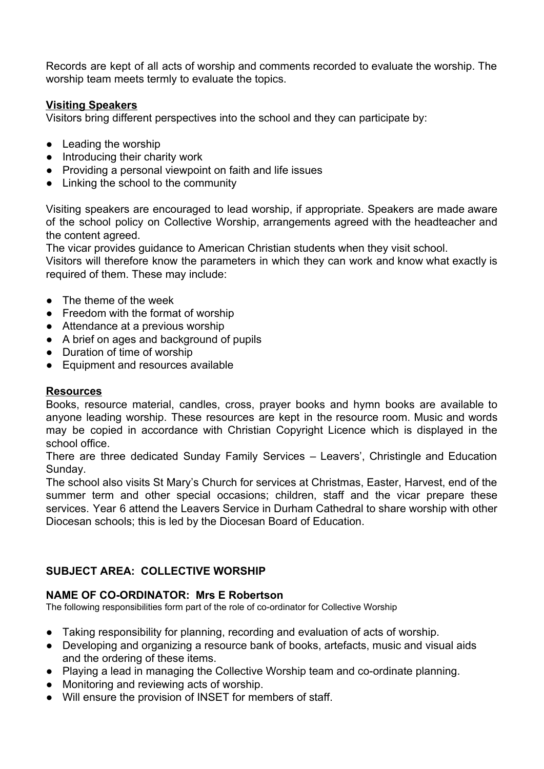Records are kept of all acts of worship and comments recorded to evaluate the worship. The worship team meets termly to evaluate the topics.

#### **Visiting Speakers**

Visitors bring different perspectives into the school and they can participate by:

- Leading the worship
- Introducing their charity work
- Providing a personal viewpoint on faith and life issues
- Linking the school to the community

Visiting speakers are encouraged to lead worship, if appropriate. Speakers are made aware of the school policy on Collective Worship, arrangements agreed with the headteacher and the content agreed.

The vicar provides guidance to American Christian students when they visit school.

Visitors will therefore know the parameters in which they can work and know what exactly is required of them. These may include:

- The theme of the week
- Freedom with the format of worship
- Attendance at a previous worship
- A brief on ages and background of pupils
- Duration of time of worship
- Equipment and resources available

## **Resources**

Books, resource material, candles, cross, prayer books and hymn books are available to anyone leading worship. These resources are kept in the resource room. Music and words may be copied in accordance with Christian Copyright Licence which is displayed in the school office.

There are three dedicated Sunday Family Services – Leavers', Christingle and Education Sunday.

The school also visits St Mary's Church for services at Christmas, Easter, Harvest, end of the summer term and other special occasions; children, staff and the vicar prepare these services. Year 6 attend the Leavers Service in Durham Cathedral to share worship with other Diocesan schools; this is led by the Diocesan Board of Education.

# **SUBJECT AREA: COLLECTIVE WORSHIP**

## **NAME OF CO-ORDINATOR: Mrs E Robertson**

The following responsibilities form part of the role of co-ordinator for Collective Worship

- Taking responsibility for planning, recording and evaluation of acts of worship.
- Developing and organizing a resource bank of books, artefacts, music and visual aids and the ordering of these items.
- Playing a lead in managing the Collective Worship team and co-ordinate planning.
- Monitoring and reviewing acts of worship.
- Will ensure the provision of INSET for members of staff.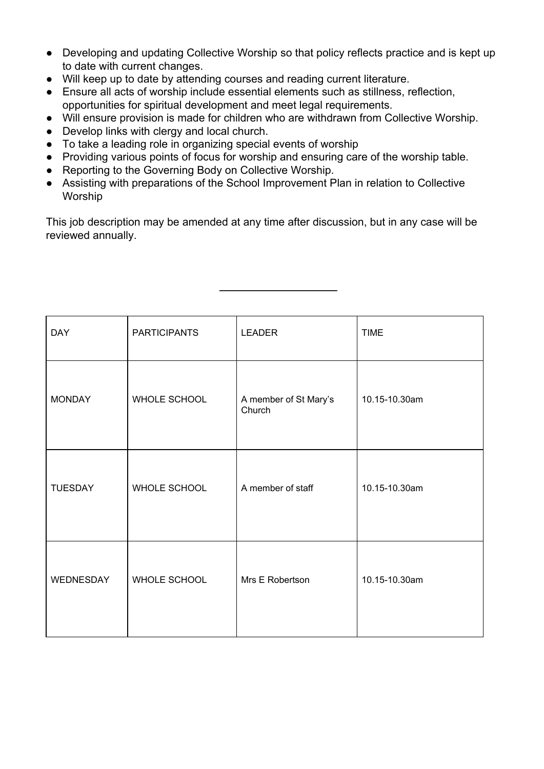- Developing and updating Collective Worship so that policy reflects practice and is kept up to date with current changes.
- Will keep up to date by attending courses and reading current literature.
- Ensure all acts of worship include essential elements such as stillness, reflection, opportunities for spiritual development and meet legal requirements.
- Will ensure provision is made for children who are withdrawn from Collective Worship.
- Develop links with clergy and local church.
- To take a leading role in organizing special events of worship
- Providing various points of focus for worship and ensuring care of the worship table.
- Reporting to the Governing Body on Collective Worship.
- Assisting with preparations of the School Improvement Plan in relation to Collective Worship

This job description may be amended at any time after discussion, but in any case will be reviewed annually.

| <b>DAY</b>     | <b>PARTICIPANTS</b> | <b>LEADER</b>                   | <b>TIME</b>   |  |
|----------------|---------------------|---------------------------------|---------------|--|
| <b>MONDAY</b>  | WHOLE SCHOOL        | A member of St Mary's<br>Church | 10.15-10.30am |  |
| <b>TUESDAY</b> | WHOLE SCHOOL        | A member of staff               | 10.15-10.30am |  |
| WEDNESDAY      | WHOLE SCHOOL        | Mrs E Robertson                 | 10.15-10.30am |  |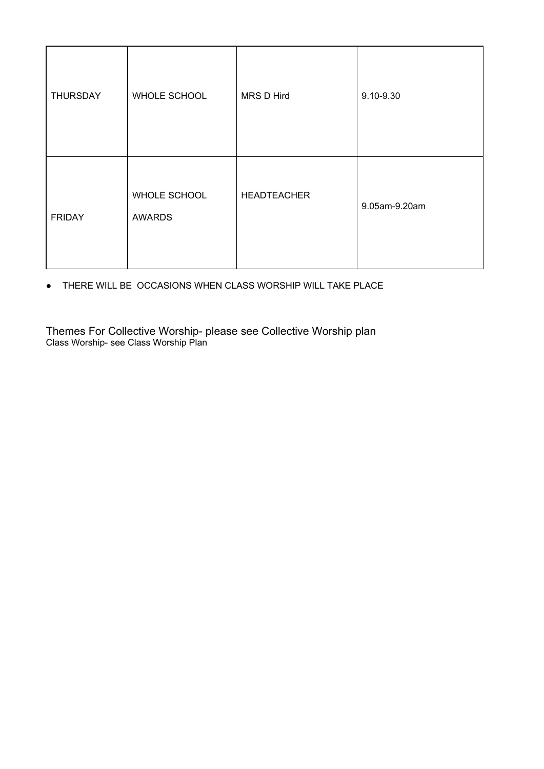| <b>THURSDAY</b> | WHOLE SCHOOL                  | MRS D Hird         | 9.10-9.30     |
|-----------------|-------------------------------|--------------------|---------------|
| <b>FRIDAY</b>   | WHOLE SCHOOL<br><b>AWARDS</b> | <b>HEADTEACHER</b> | 9.05am-9.20am |

● THERE WILL BE OCCASIONS WHEN CLASS WORSHIP WILL TAKE PLACE

Themes For Collective Worship- please see Collective Worship plan Class Worship- see Class Worship Plan